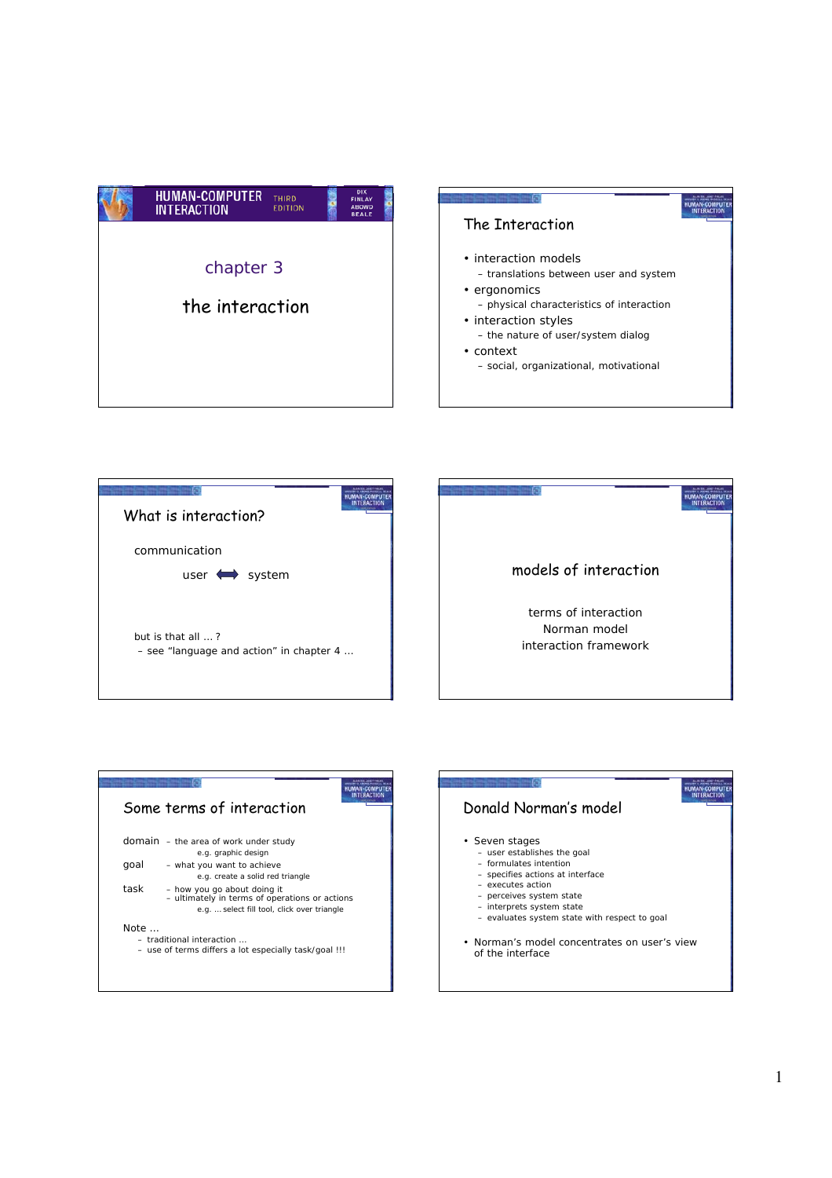









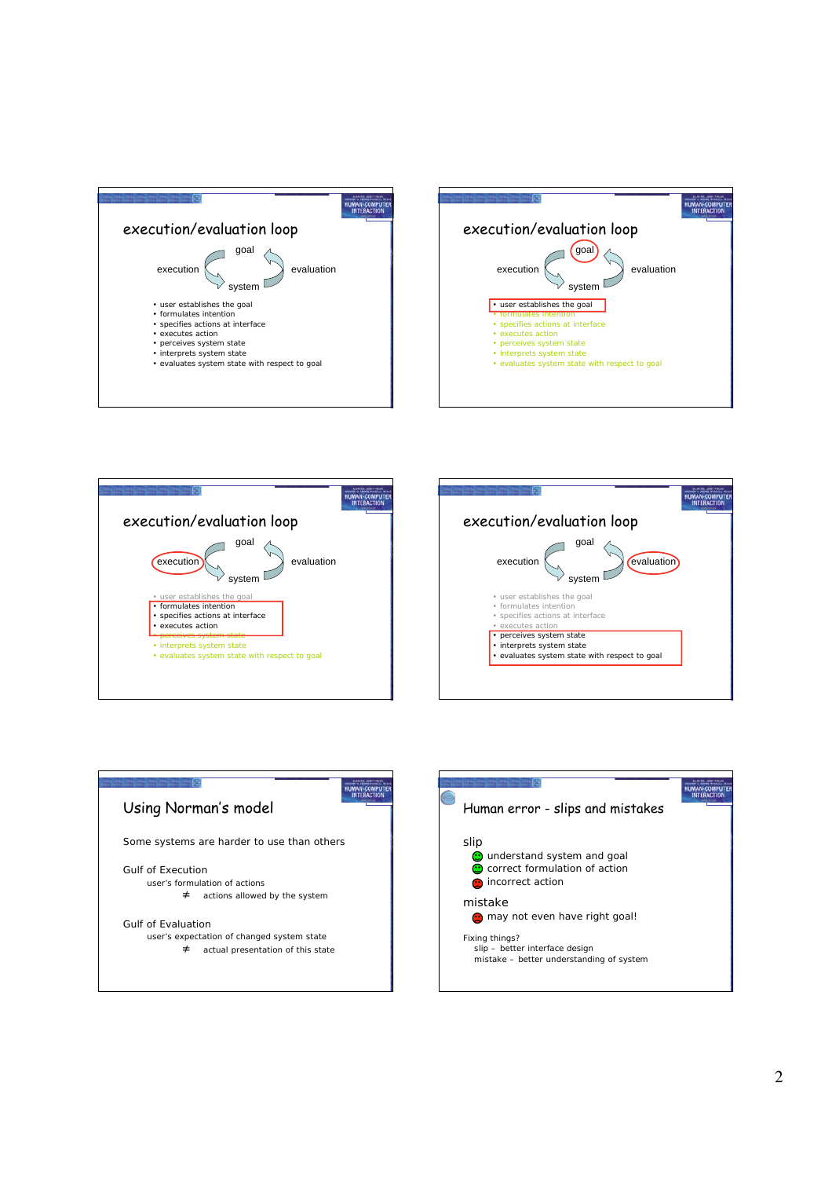







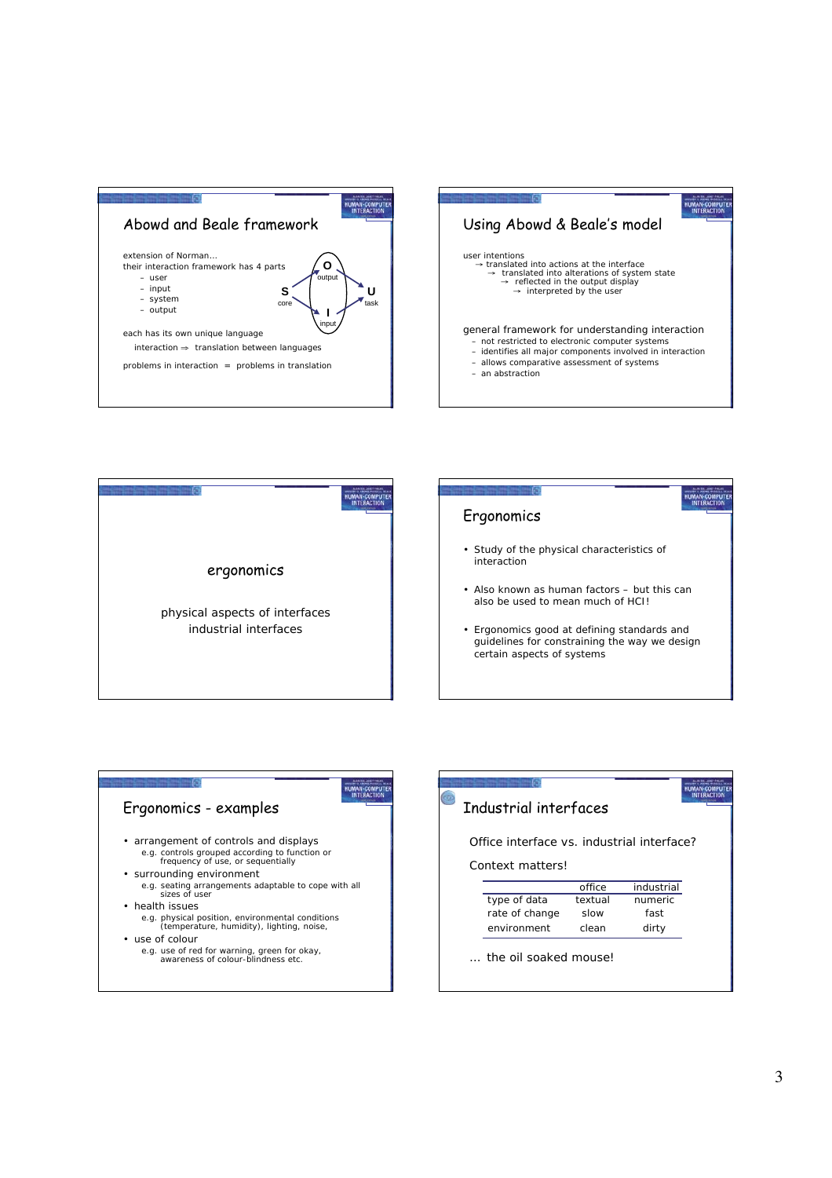







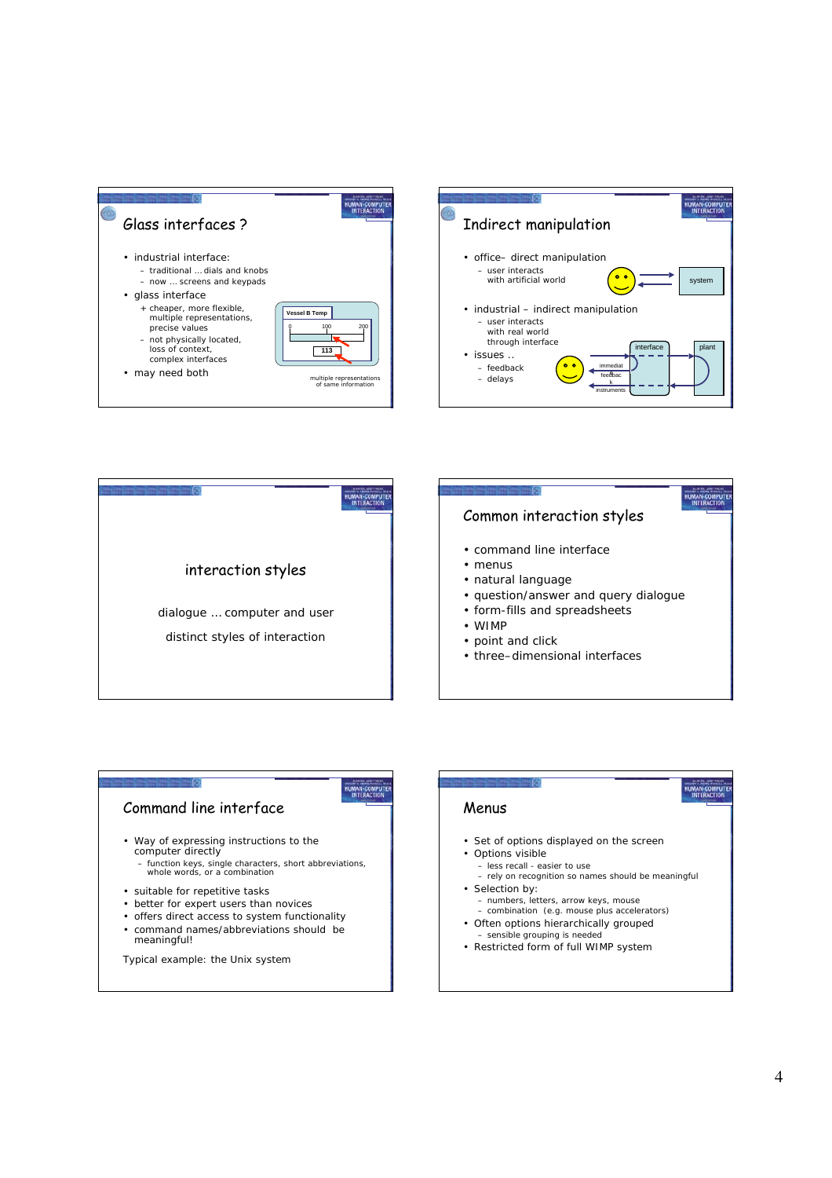





HUMAN-COMPUTE

## Command line interface

- Way of expressing instructions to the computer directly
	- function keys, single characters, short abbreviations, whole words, or a combination
- suitable for repetitive tasks
- better for expert users than novices
- offers direct access to system functionality
- command names/abbreviations should be meaningful!

Typical example: the Unix system

#### HUMAN-COMPUTE Menus • Set of options displayed on the screen • Options visible – less recall - easier to use – rely on recognition so names should be meaningful • Selection by: – numbers, letters, arrow keys, mouse – combination (e.g. mouse plus accelerators) • Often options hierarchically grouped – sensible grouping is needed • Restricted form of full WIMP system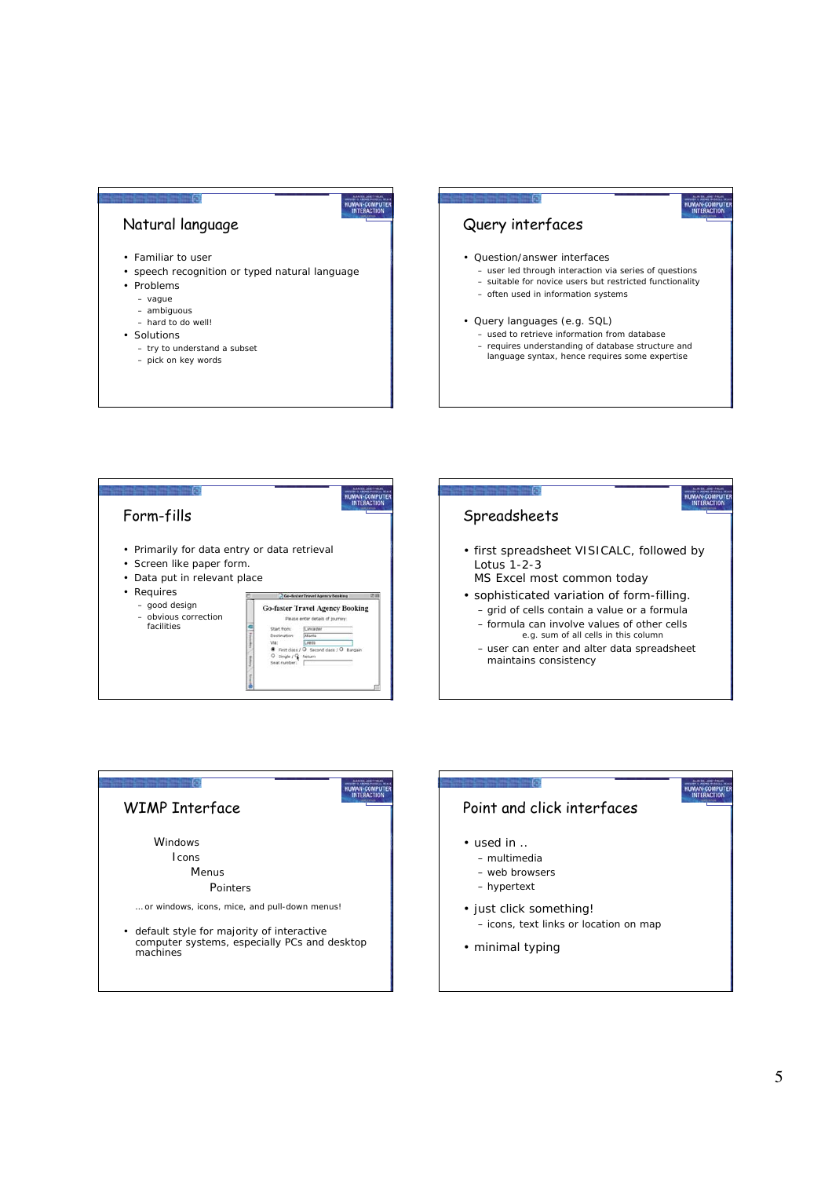# Natural language

- Familiar to user
- speech recognition or typed natural language
- Problems
	- vague
	- ambiguous
	- hard to do well!
- Solutions
	- try to understand a subset
	- pick on key words

### Query interfaces

- Question/answer interfaces
	- user led through interaction via series of questions

HUMAN-COMPUTE

- suitable for novice users but restricted functionality
- often used in information systems
- Query languages (e.g. SQL)
	- used to retrieve information from database – requires understanding of database structure and language syntax, hence requires some expertise



HUMAN-COMPUT



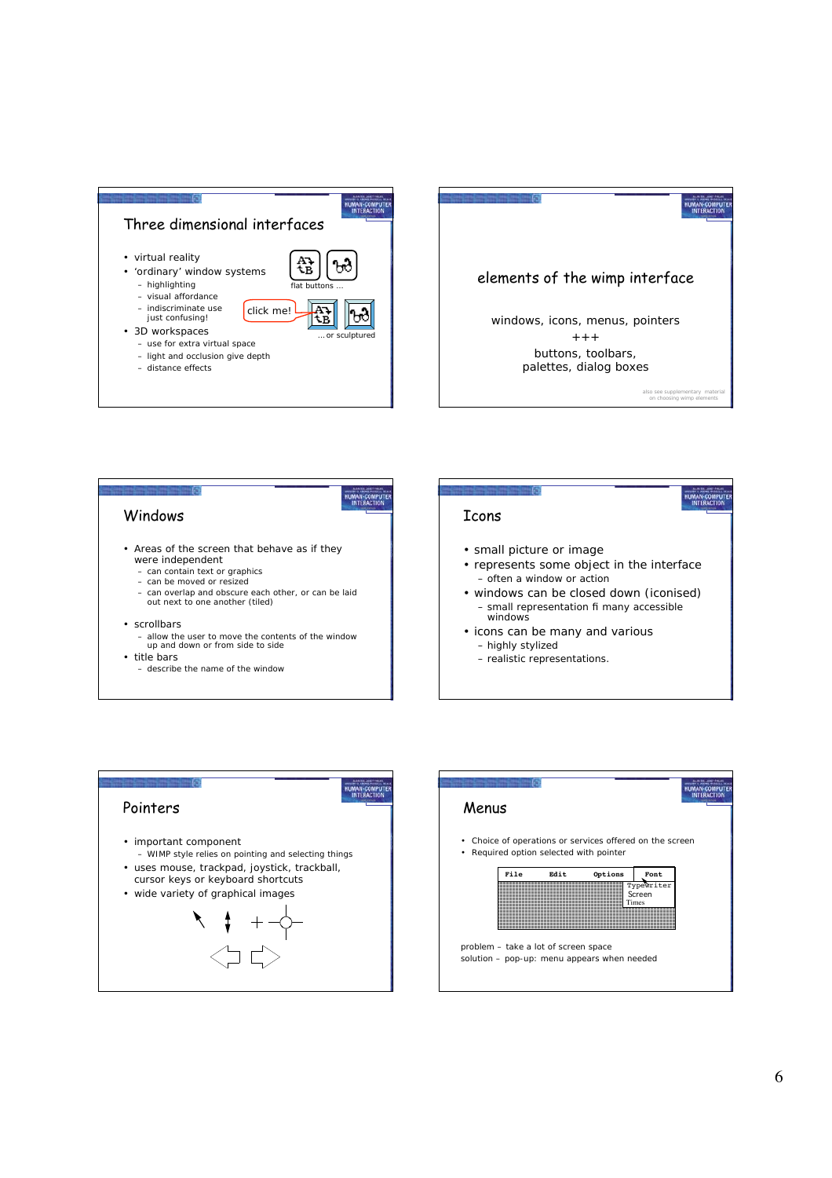

HUMAN-COMPUT<br>INTERACTION



- Areas of the screen that behave as if they were independent
	- can contain text or graphics
	- can be moved or resized
	- can overlap and obscure each other, or can be laid out next to one another (tiled)

#### • scrollbars

- allow the user to move the contents of the window up and down or from side to side • title bars
	-
	- describe the name of the window

### Icons

- small picture or image
- represents some object in the interface – often a window or action

HUMAN-COMPUTE

- windows can be closed down (iconised) – small representation fi many accessible windows
- icons can be many and various – highly stylized
	- realistic representations.



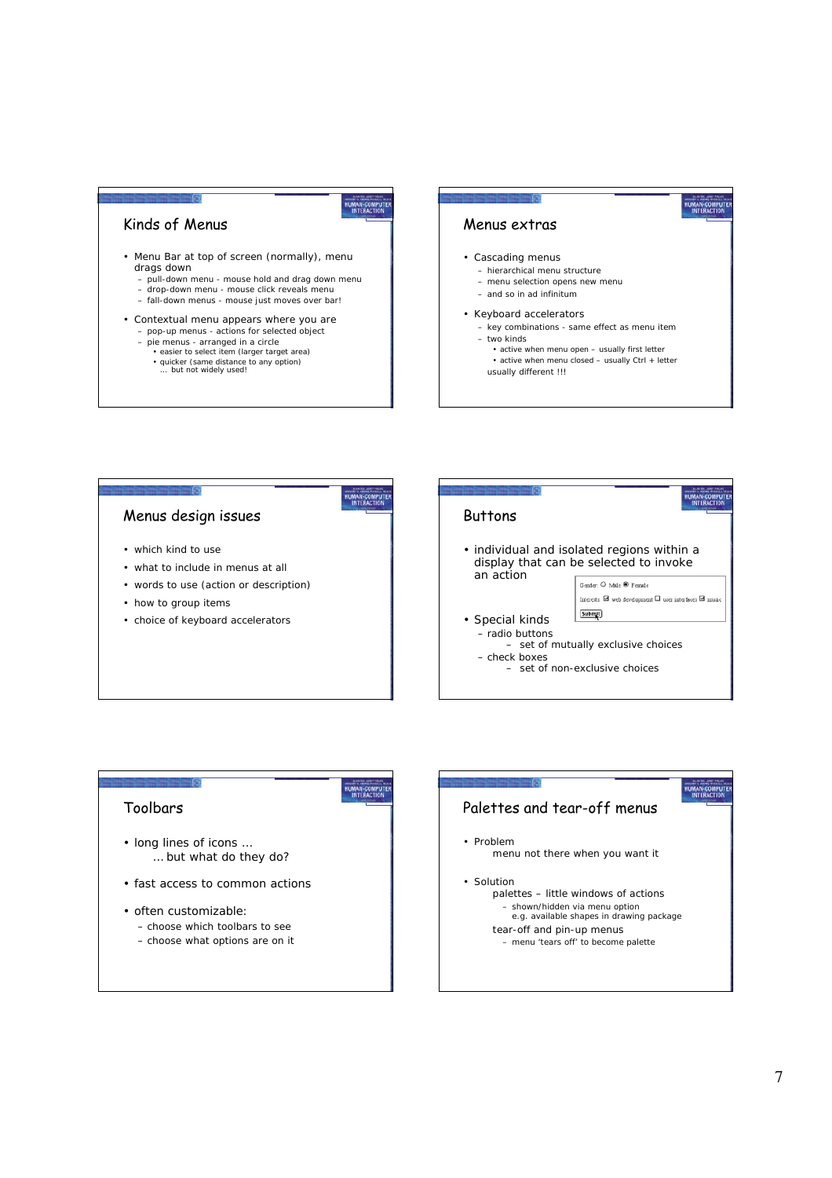#### Kinds of Menus

- Menu Bar at top of screen (normally), menu drags down
	- pull-down menu mouse hold and drag down menu – drop-down menu - mouse click reveals menu

HUMAN-COMPUT

HUMAN-COMPU<br>INTERACTION

HUMAN-COMPUTE

- fall-down menus mouse just moves over bar!
- Contextual menu appears where you are – pop-up menus - actions for selected object
	- pie menus arranged in a circle
		-
		- easier to select item (larger target area) quicker (same distance to any option) … but not widely used!
		-

### Menus extras

#### • Cascading menus

- hierarchical menu structure
- menu selection opens new menu
- and so in ad infinitum

#### • Keyboard accelerators

– key combinations - same effect as menu item – two kinds

HUMAN-COMPUTE

- active when menu open usually first letter
- active when menu closed usually Ctrl + letter
- usually different !!!

# Menus design issues

- which kind to use
- what to include in menus at all
- words to use (action or description)
- how to group items
- choice of keyboard accelerators

### HUMAN-COMPUT **Buttons** • individual and isolated regions within a display that can be selected to invoke an action Gender: O Male ® Female Interests: El web development II user interfaces El music Submit • Special kinds – radio buttons – set of mutually exclusive choices – check boxes – set of non-exclusive choices

#### Toolbars

- long lines of icons … … but what do they do?
- fast access to common actions
- often customizable: – choose *which* toolbars to see – choose *what* options are on it

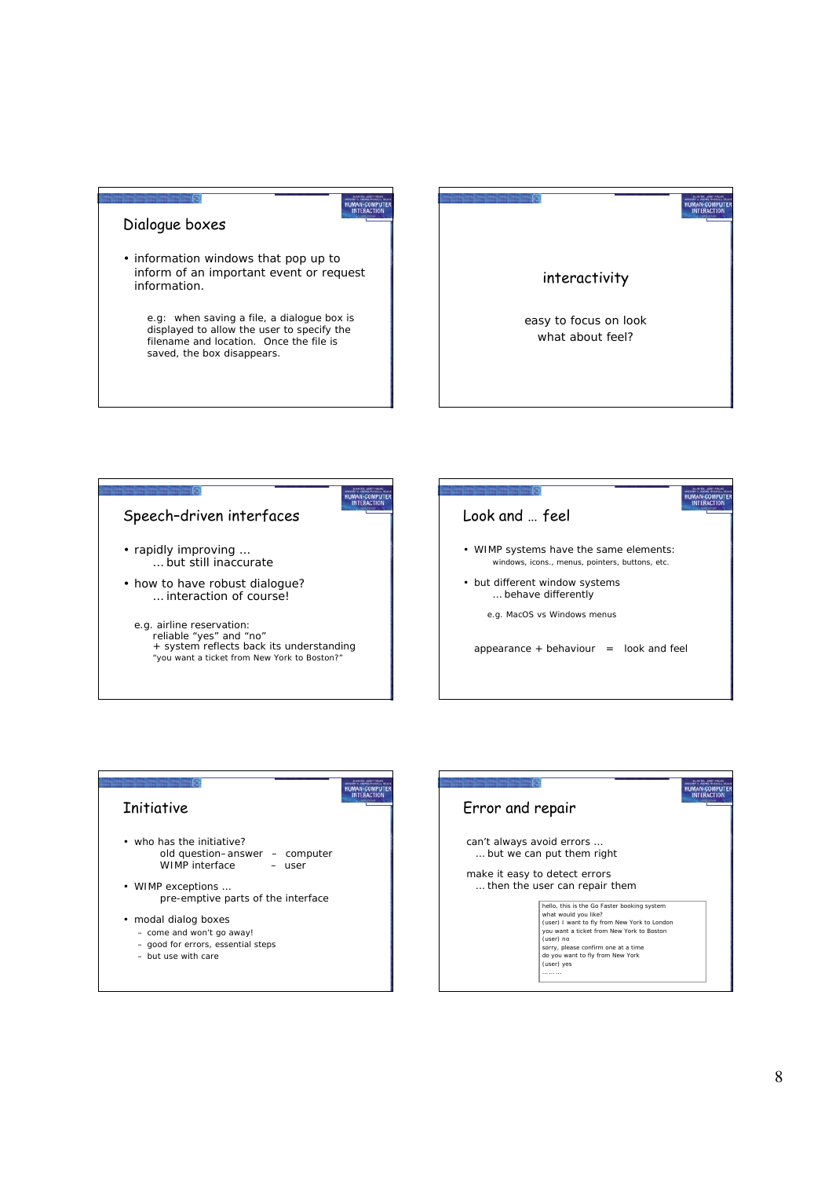### Dialogue boxes

• information windows that pop up to inform of an important event or request information.

 e.g: when saving a file, a dialogue box is displayed to allow the user to specify the filename and location. Once the file is saved, the box disappears.





HUMAN-COMPUT



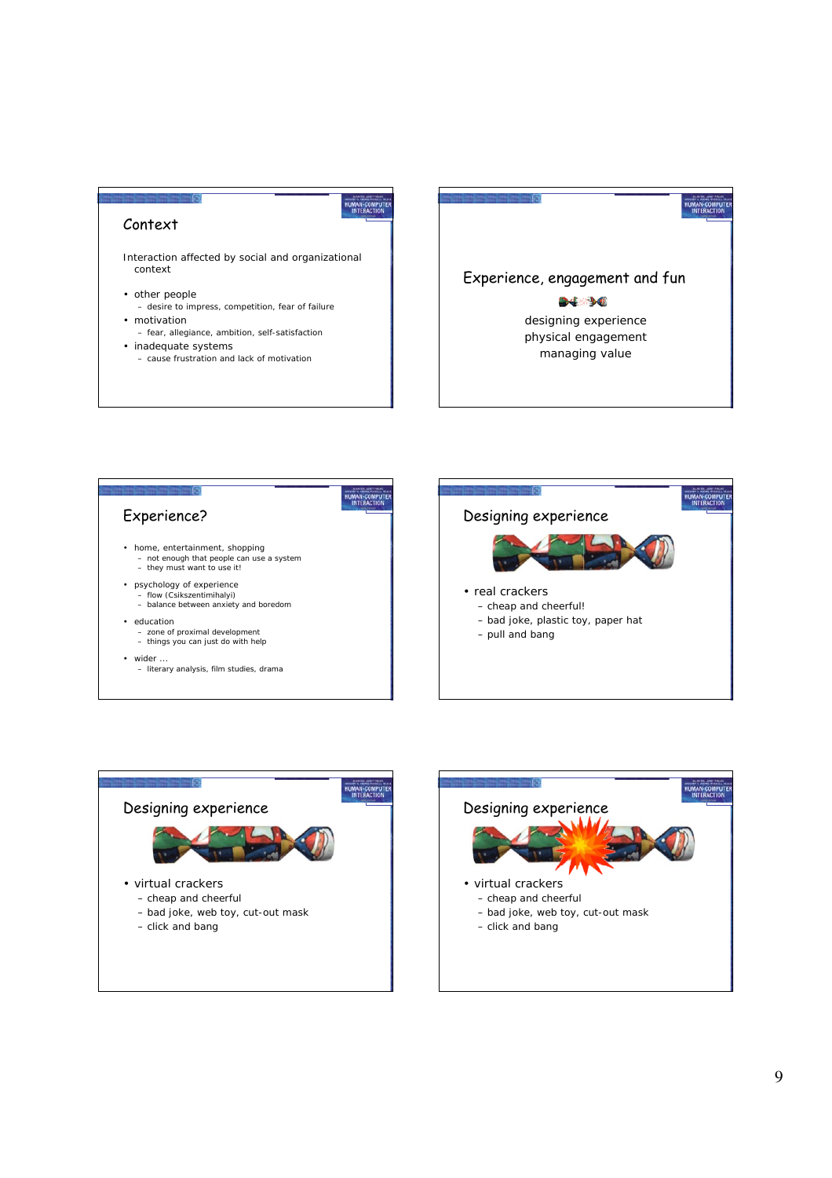### Context

Interaction affected by social and organizational context

- other people
- desire to impress, competition, fear of failure • motivation – fear, allegiance, ambition, self-satisfaction
- inadequate systems
- cause frustration and lack of motivation





HUMAN-COMPUT



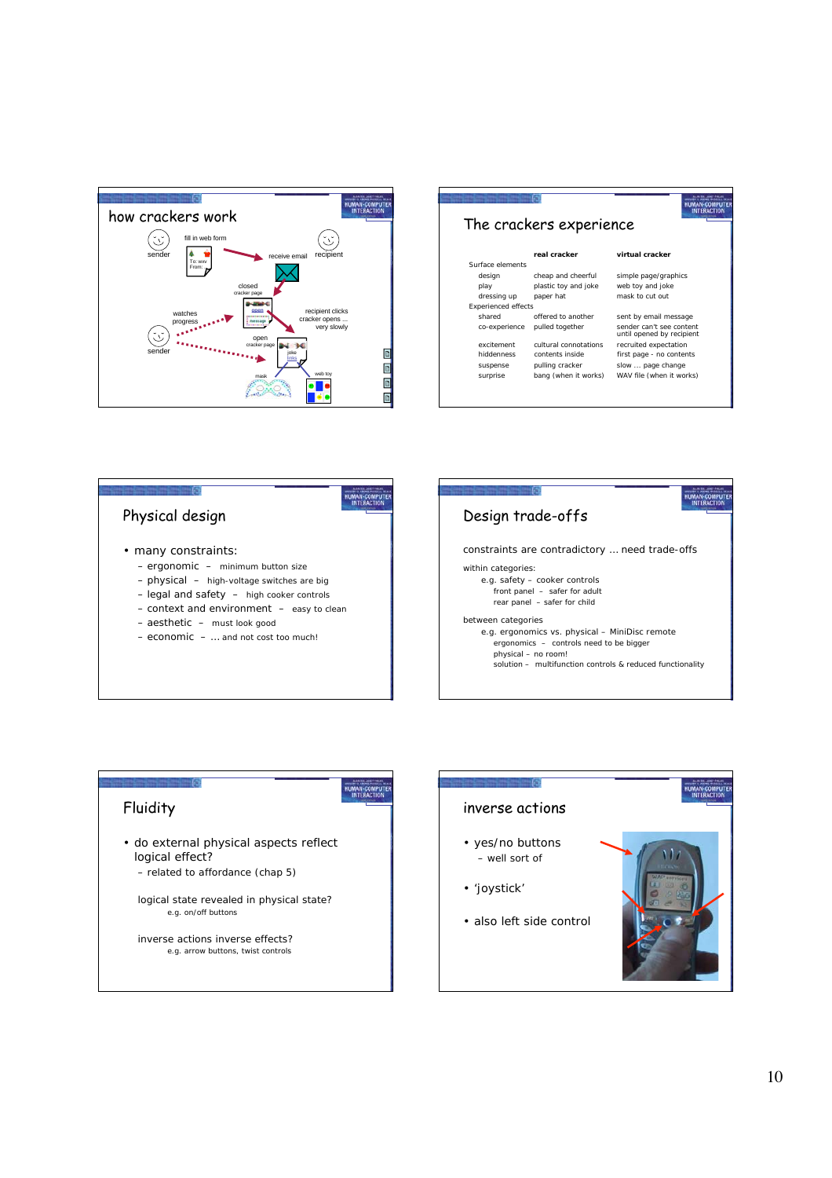

| The crackers experience    |                       |                                                       |
|----------------------------|-----------------------|-------------------------------------------------------|
|                            |                       |                                                       |
|                            | real cracker          | virtual cracker                                       |
| Surface elements           |                       |                                                       |
| design                     | cheap and cheerful    | simple page/graphics                                  |
| play                       | plastic toy and joke  | web toy and joke                                      |
| dressing up                | paper hat             | mask to cut out                                       |
| <b>Experienced effects</b> |                       |                                                       |
| shared                     | offered to another    | sent by email message                                 |
| co-experience              | pulled together       | sender can't see content<br>until opened by recipient |
| excitement                 | cultural connotations | recruited expectation                                 |
| hiddenness                 | contents inside       | first page - no contents                              |
| suspense                   | pulling cracker       | slow  page change                                     |
| surprise                   | bang (when it works)  | WAV file (when it works)                              |



HUMAN-COMPUTE



• do external physical aspects reflect logical effect?

– related to affordance (chap 5)

-61

logical state revealed in physical state? e.g. on/off buttons

inverse actions inverse effects? e.g. arrow buttons, twist controls

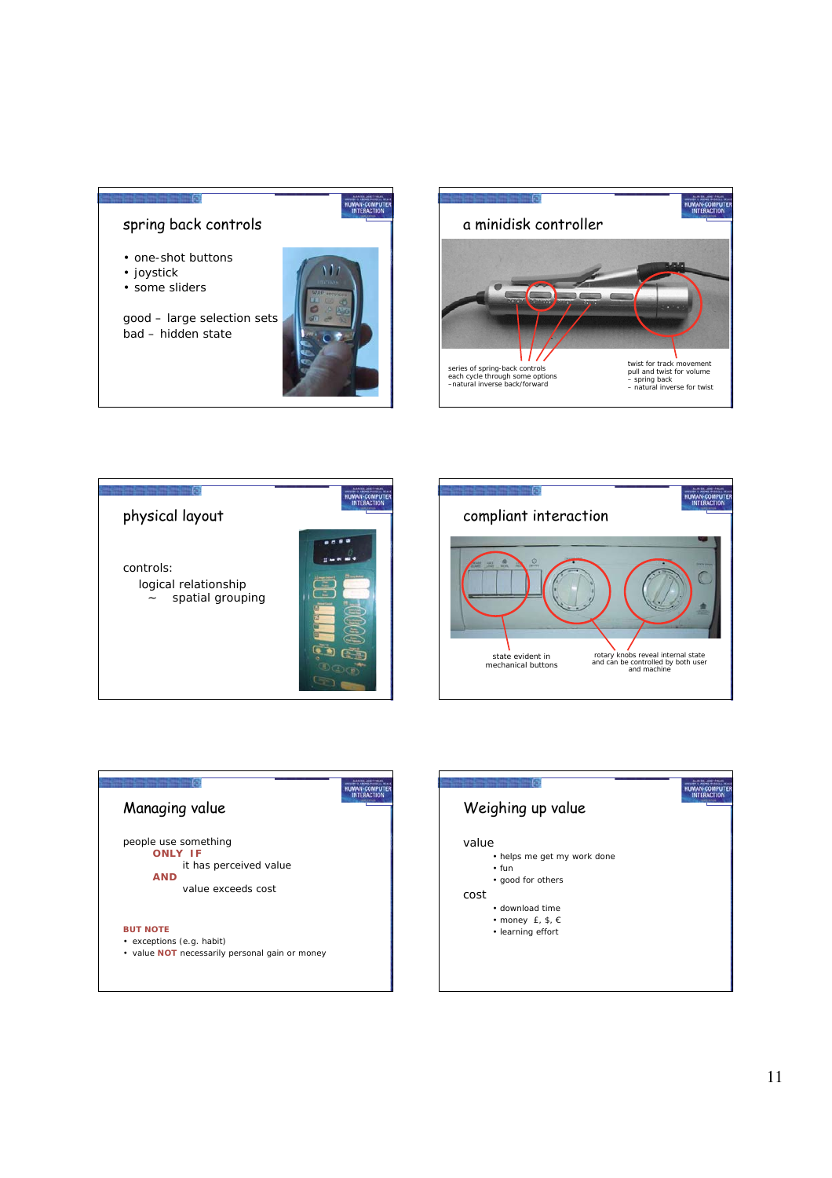### spring back controls

- one-shot buttons
- joystick
- some sliders

good – large selection sets bad – hidden state



HUMAN-COMPUTE